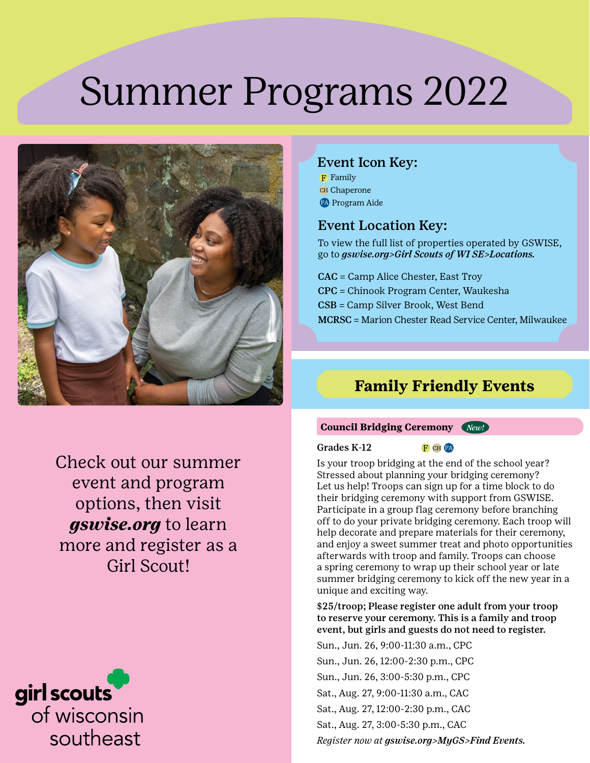# Summer Programs 2022



### Event Icon Key:

F Family CH Chaperone PA Program Aide

### Event Location Key:

To view the full list of properties operated by GSWISE, go to *[gswise.org>Girl Scouts of WI SE>Locations.](https://www.gswise.org/en/about-girl-scouts/girl-scouts-of-wise/locations.html)*

CAC = Camp Alice Chester, East Troy CPC = Chinook Program Center, Waukesha CSB = Camp Silver Brook, West Bend MCRSC = Marion Chester Read Service Center, Milwaukee

# **Family Friendly Events**

Check out our summer event and program options, then visit *gswise.org* to learn more and register as a Girl Scout!

# girl scouts of wisconsin southeast

#### **Council Bridging Ceremony** *New!*

#### Grades  $K-12$  F CH PA

Is your troop bridging at the end of the school year? Stressed about planning your bridging ceremony? Let us help! Troops can sign up for a time block to do their bridging ceremony with support from GSWISE. Participate in a group flag ceremony before branching off to do your private bridging ceremony. Each troop will help decorate and prepare materials for their ceremony, and enjoy a sweet summer treat and photo opportunities afterwards with troop and family. Troops can choose a spring ceremony to wrap up their school year or late summer bridging ceremony to kick off the new year in a unique and exciting way.

\$25/troop; Please register one adult from your troop to reserve your ceremony. This is a family and troop event, but girls and guests do not need to register.

Sun., Jun. 26, 9:00-11:30 a.m., CPC Sun., Jun. 26, 12:00-2:30 p.m., CPC Sun., Jun. 26, 3:00-5:30 p.m., CPC Sat., Aug. 27, 9:00-11:30 a.m., CAC Sat., Aug. 27, 12:00-2:30 p.m., CAC Sat., Aug. 27, 3:00-5:30 p.m., CAC *Register now at gswise.org>MyGS>Find Events.*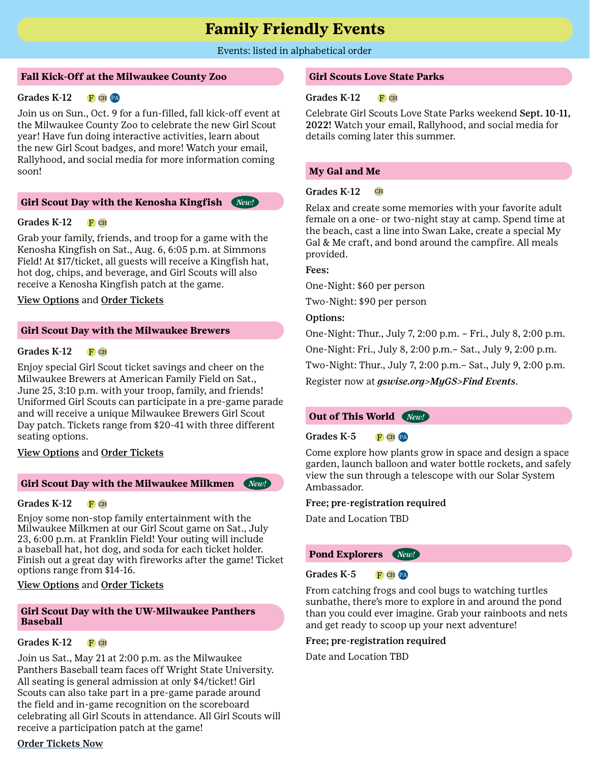# **Family Friendly Events**

#### Events: listed in alphabetical order

#### **Fall Kick-Off at the Milwaukee County Zoo**

#### Grades K-12 F CH PA

Join us on Sun., Oct. 9 for a fun-filled, fall kick-off event at the Milwaukee County Zoo to celebrate the new Girl Scout year! Have fun doing interactive activities, learn about the new Girl Scout badges, and more! Watch your email, Rallyhood, and social media for more information coming soon!

#### **Girl Scout Day with the Kenosha Kingfish** *New!*

#### Grades  $K-12$  F CH

Grab your family, friends, and troop for a game with the Kenosha Kingfish on Sat., Aug. 6, 6:05 p.m. at Simmons Field! At \$17/ticket, all guests will receive a Kingfish hat, hot dog, chips, and beverage, and Girl Scouts will also receive a Kenosha Kingfish patch at the game.

#### [View Options](https://www.gswise.org/content/dam/girlscouts-gswise/documents/Kenosha%20Kingfish%202022.pdf) and [Order Tickets](https://kenosha-kingfish.nwltickets.com/Tickets/SelectPromoSeats?PromoCode=gswise22)

#### **Girl Scout Day with the Milwaukee Brewers**

#### Grades  $K-12$  F CH

Enjoy special Girl Scout ticket savings and cheer on the Milwaukee Brewers at American Family Field on Sat., June 25, 3:10 p.m. with your troop, family, and friends! Uniformed Girl Scouts can participate in a pre-game parade and will receive a unique Milwaukee Brewers Girl Scout Day patch. Tickets range from \$20-41 with three different seating options.

#### [View Options](https://www.gswise.org/content/dam/girlscouts-gswise/documents/Milwaukee%20Brewers%20Girl%20Scout%20Night%202022.pdf) and [Order Tickets](https://www.mlb.com/brewers/tickets/specials/girl-scouts)

#### **Girl Scout Day with the Milwaukee Milkmen** *New!*

#### Grades  $K-12$  F CH

Enjoy some non-stop family entertainment with the Milwaukee Milkmen at our Girl Scout game on Sat., July 23, 6:00 p.m. at Franklin Field! Your outing will include a baseball hat, hot dog, and soda for each ticket holder. Finish out a great day with fireworks after the game! Ticket options range from \$14-16.

#### [View Options](https://www.gswise.org/content/dam/girlscouts-gswise/documents/Milwaukee%20Milkmen%202022.pdf) and [Order Tickets](https://offer.fevo.com/milkmen-vs-sioux-explorers-qzwnibc-796a65a?fevoUri=milkmen-vs-sioux-explorers-qzwnibc-796a65a%2F)

#### **Girl Scout Day with the UW-Milwaukee Panthers Baseball**

#### Grades  $K-12$  F CH

Join us Sat., May 21 at 2:00 p.m. as the Milwaukee Panthers Baseball team faces off Wright State University. All seating is general admission at only \$4/ticket! Girl Scouts can also take part in a pre-game parade around the field and in-game recognition on the scoreboard celebrating all Girl Scouts in attendance. All Girl Scouts will receive a participation patch at the game!

#### [Order Tickets Now](https://offer.fevo.com/wright-state-tfjwnku-aa23a43?fevoUri=wright-state-tfjwnku-aa23a43%2F)

#### **Girl Scouts Love State Parks**

#### Grades  $K-12$  F CH

Celebrate Girl Scouts Love State Parks weekend Sept. 10-11, 2022! Watch your email, Rallyhood, and social media for details coming later this summer.

#### **My Gal and Me**

#### Grades K-12 CH

Relax and create some memories with your favorite adult female on a one- or two-night stay at camp. Spend time at the beach, cast a line into Swan Lake, create a special My Gal & Me craft, and bond around the campfire. All meals provided.

#### Fees:

One-Night: \$60 per person

Two-Night: \$90 per person

#### Options:

One-Night: Thur., July 7, 2:00 p.m. – Fri., July 8, 2:00 p.m. One-Night: Fri., July 8, 2:00 p.m.– Sat., July 9, 2:00 p.m. Two-Night: Thur., July 7, 2:00 p.m.– Sat., July 9, 2:00 p.m. Register now at *[gswise.org>MyGS>Find Events](http://www.gswise.org)*.

#### **Out of This World** *New!*

#### Grades K-5 F CH PA

Come explore how plants grow in space and design a space garden, launch balloon and water bottle rockets, and safely view the sun through a telescope with our Solar System Ambassador.

#### Free; pre-registration required

Date and Location TBD

#### **Pond Explorers** *New!*

#### Grades K-5 F CH PA

From catching frogs and cool bugs to watching turtles sunbathe, there's more to explore in and around the pond than you could ever imagine. Grab your rainboots and nets and get ready to scoop up your next adventure!

#### Free; pre-registration required

Date and Location TBD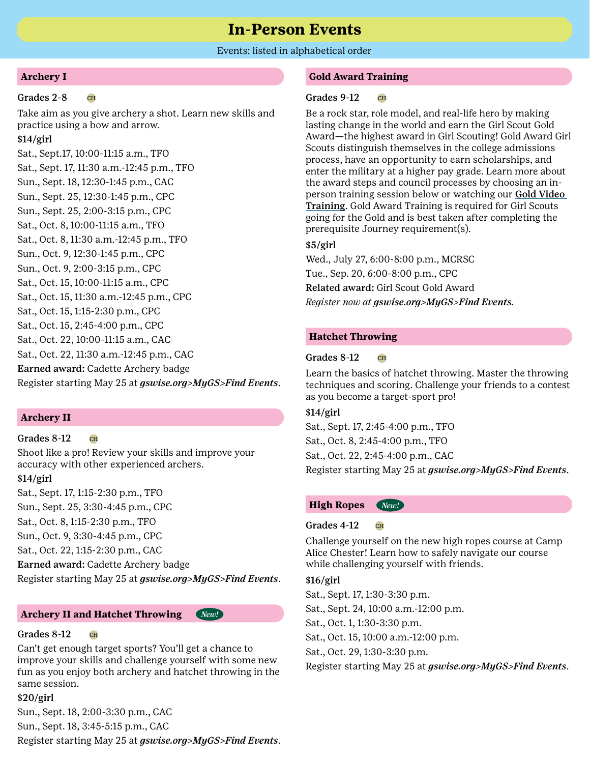### **In-Person Events**

#### Events: listed in alphabetical order

#### **Archery I**

#### $Grades$  2-8  $CH$

Take aim as you give archery a shot. Learn new skills and practice using a bow and arrow.

#### \$14/girl

Sat., Sept.17, 10:00-11:15 a.m., TFO Sat., Sept. 17, 11:30 a.m.-12:45 p.m., TFO Sun., Sept. 18, 12:30-1:45 p.m., CAC Sun., Sept. 25, 12:30-1:45 p.m., CPC Sun., Sept. 25, 2:00-3:15 p.m., CPC Sat., Oct. 8, 10:00-11:15 a.m., TFO Sat., Oct. 8, 11:30 a.m.-12:45 p.m., TFO Sun., Oct. 9, 12:30-1:45 p.m., CPC Sun., Oct. 9, 2:00-3:15 p.m., CPC Sat., Oct. 15, 10:00-11:15 a.m., CPC Sat., Oct. 15, 11:30 a.m.-12:45 p.m., CPC Sat., Oct. 15, 1:15-2:30 p.m., CPC Sat., Oct. 15, 2:45-4:00 p.m., CPC Sat., Oct. 22, 10:00-11:15 a.m., CAC Sat., Oct. 22, 11:30 a.m.-12:45 p.m., CAC Earned award: Cadette Archery badge Register starting May 25 at *[gswise.org>MyGS>Find Events](http://www.gswise.org)*.

#### **Archery II**

#### $Grades 8-12$  CH

Shoot like a pro! Review your skills and improve your accuracy with other experienced archers.

#### \$14/girl

Sat., Sept. 17, 1:15-2:30 p.m., TFO Sun., Sept. 25, 3:30-4:45 p.m., CPC Sat., Oct. 8, 1:15-2:30 p.m., TFO Sun., Oct. 9, 3:30-4:45 p.m., CPC Sat., Oct. 22, 1:15-2:30 p.m., CAC Earned award: Cadette Archery badge Register starting May 25 at *[gswise.org>MyGS>Find Events](http://www.gswise.org)*.

#### **Archery II and Hatchet Throwing** *New!*

#### Grades  $8-12$  CH

Can't get enough target sports? You'll get a chance to improve your skills and challenge yourself with some new fun as you enjoy both archery and hatchet throwing in the same session.

#### \$20/girl

Sun., Sept. 18, 2:00-3:30 p.m., CAC Sun., Sept. 18, 3:45-5:15 p.m., CAC Register starting May 25 at *[gswise.org>MyGS>Find Events](http://www.gswise.org)*.

#### **Gold Award Training**

#### Grades  $9-12$  CH

Be a rock star, role model, and real-life hero by making lasting change in the world and earn the Girl Scout Gold Award—the highest award in Girl Scouting! Gold Award Girl Scouts distinguish themselves in the college admissions process, have an opportunity to earn scholarships, and enter the military at a higher pay grade. Learn more about the award steps and council processes by choosing an inperson training session below or watching our **Gold Video** [Training](https://www.youtube.com/watch?v=11koTz4EOd4). Gold Award Training is required for Girl Scouts going for the Gold and is best taken after completing the prerequisite Journey requirement(s).

#### \$5/girl

Wed., July 27, 6:00-8:00 p.m., MCRSC Tue., Sep. 20, 6:00-8:00 p.m., CPC Related award: Girl Scout Gold Award *Register now at [gswise.org>MyGS>Find Events.](http://www.gswise.org)*

#### **Hatchet Throwing**

#### Grades  $8-12$  CH

Learn the basics of hatchet throwing. Master the throwing techniques and scoring. Challenge your friends to a contest as you become a target-sport pro!

#### \$14/girl

Sat., Sept. 17, 2:45-4:00 p.m., TFO Sat., Oct. 8, 2:45-4:00 p.m., TFO Sat., Oct. 22, 2:45-4:00 p.m., CAC Register starting May 25 at *[gswise.org>MyGS>Find Events](http://www.gswise.org)*.

#### **High Ropes** *New!*

#### Grades  $4-12$  CH

Challenge yourself on the new high ropes course at Camp Alice Chester! Learn how to safely navigate our course while challenging yourself with friends.

#### \$16/girl

Sat., Sept. 17, 1:30-3:30 p.m. Sat., Sept. 24, 10:00 a.m.-12:00 p.m. Sat., Oct. 1, 1:30-3:30 p.m. Sat., Oct. 15, 10:00 a.m.-12:00 p.m. Sat., Oct. 29, 1:30-3:30 p.m.

Register starting May 25 at *[gswise.org>MyGS>Find Events](http://www.gswise.org)*.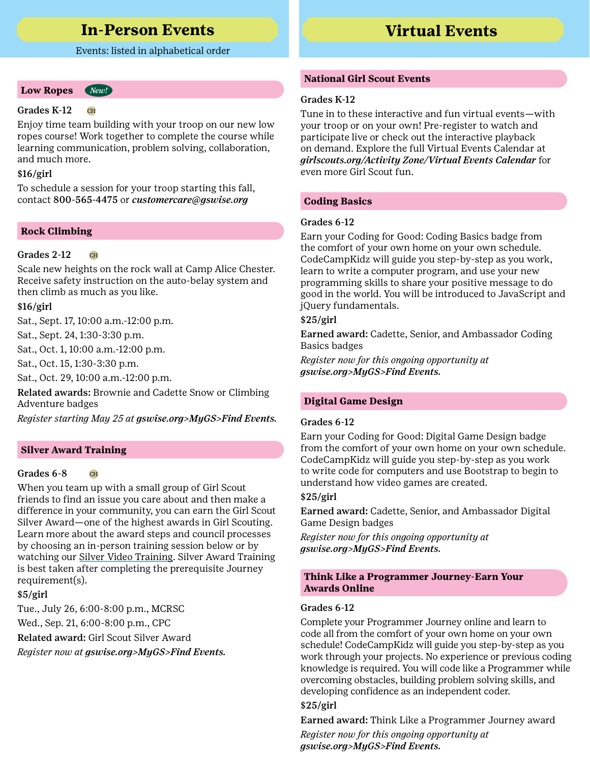# **In-Person Events Virtual Events**

#### Events: listed in alphabetical order

#### **Low Ropes** *New!*

#### Grades K-12 CH

Enjoy time team building with your troop on our new low ropes course! Work together to complete the course while learning communication, problem solving, collaboration, and much more.

#### \$16/girl

To schedule a session for your troop starting this fall, contact 800-565-4475 or *[customercare@gswise.org](mailto:customercare%40gswise.org%20%20?subject=)* 

#### **Rock Climbing**

#### Grades 2-12

Scale new heights on the rock wall at Camp Alice Chester. Receive safety instruction on the auto-belay system and then climb as much as you like.

#### \$16/girl

Sat., Sept. 17, 10:00 a.m.-12:00 p.m.

Sat., Sept. 24, 1:30-3:30 p.m.

Sat., Oct. 1, 10:00 a.m.-12:00 p.m.

Sat., Oct. 15, 1:30-3:30 p.m.

Sat., Oct. 29, 10:00 a.m.-12:00 p.m.

Related awards: Brownie and Cadette Snow or Climbing Adventure badges

*Register starting May 25 at [gswise.org>MyGS>Find Events.](http://www.gswise.org)*

#### **Silver Award Training**

#### Grades 6-8 CH

When you team up with a small group of Girl Scout friends to find an issue you care about and then make a difference in your community, you can earn the Girl Scout Silver Award—one of the highest awards in Girl Scouting. Learn more about the award steps and council processes by choosing an in-person training session below or by watching our [Silver Video Training.](https://www.youtube.com/watch?v=LdXcW8XdutM) Silver Award Training is best taken after completing the prerequisite Journey requirement(s).

#### \$5/girl

Tue., July 26, 6:00-8:00 p.m., MCRSC

Wed., Sep. 21, 6:00-8:00 p.m., CPC

Related award: Girl Scout Silver Award

*Register now at [gswise.org>MyGS>Find Events.](http://www.gswise.org)*

#### **National Girl Scout Events**

#### Grades K-12

Tune in to these interactive and fun virtual events—with your troop or on your own! Pre-register to watch and participate live or check out the interactive playback on demand. Explore the full Virtual Events Calendar at *[girlscouts.org/Activity Zone/Virtual Events Calendar](https://www.girlscouts.org/en/activity-zone/virtual-event-calendar.html)* for even more Girl Scout fun.

#### **Coding Basics**

#### Grades 6-12

Earn your Coding for Good: Coding Basics badge from the comfort of your own home on your own schedule. CodeCampKidz will guide you step-by-step as you work, learn to write a computer program, and use your new programming skills to share your positive message to do good in the world. You will be introduced to JavaScript and jQuery fundamentals.

#### \$25/girl

Earned award: Cadette, Senior, and Ambassador Coding Basics badges

*Register now for this ongoing opportunity at [gswise.org>MyGS>Find Events.](http://www.gswise.org)*

#### **Digital Game Design**

#### Grades 6-12

Earn your Coding for Good: Digital Game Design badge from the comfort of your own home on your own schedule. CodeCampKidz will guide you step-by-step as you work to write code for computers and use Bootstrap to begin to understand how video games are created.

#### \$25/girl

Earned award: Cadette, Senior, and Ambassador Digital Game Design badges

*Register now for this ongoing opportunity at [gswise.org>MyGS>Find Events.](http://www.gswise.org)*

#### **Think Like a Programmer Journey-Earn Your Awards Online**

#### Grades 6-12

Complete your Programmer Journey online and learn to code all from the comfort of your own home on your own schedule! CodeCampKidz will guide you step-by-step as you work through your projects. No experience or previous coding knowledge is required. You will code like a Programmer while overcoming obstacles, building problem solving skills, and developing confidence as an independent coder.

#### \$25/girl

Earned award: Think Like a Programmer Journey award

*Register now for this ongoing opportunity at [gswise.org>MyGS>Find Events.](http://www.gswise.org)*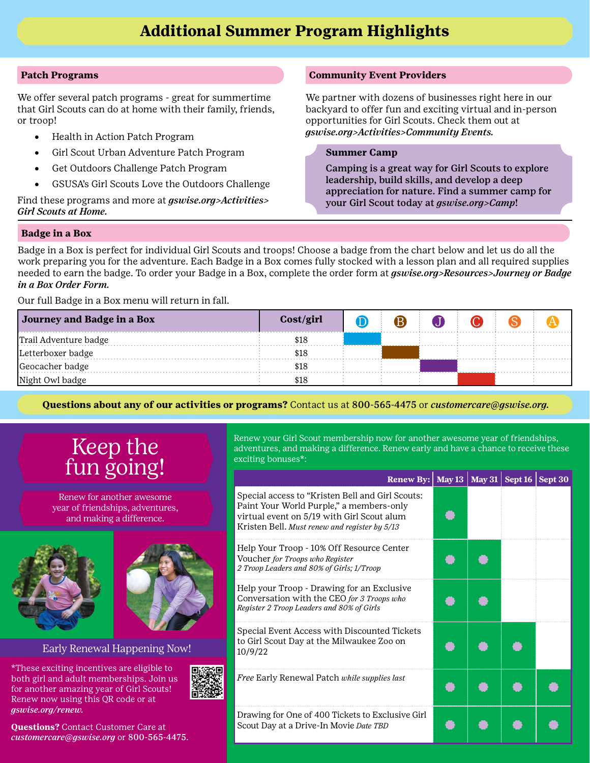#### **Patch Programs**

We offer several patch programs - great for summertime that Girl Scouts can do at home with their family, friends, or troop!

- Health in Action Patch Program
- Girl Scout Urban Adventure Patch Program
- • Get Outdoors Challenge Patch Program
- GSUSA's Girl Scouts Love the Outdoors Challenge

Find these programs and more at *[gswise.org>Activities>](https://www.gswise.org/en/Activities/girl-scouts-at-home.html) [Girl Scouts at Home.](https://www.gswise.org/en/Activities/girl-scouts-at-home.html)*

#### **Community Event Providers**

We partner with dozens of businesses right here in our backyard to offer fun and exciting virtual and in-person opportunities for Girl Scouts. Check them out at *[gswise.org>Activities>Community Events.](https://www.gswise.org/en/Activities/on-your-own.html)*

#### **Summer Camp**

Camping is a great way for Girl Scouts to explore leadership, build skills, and develop a deep appreciation for nature. Find a summer camp for your Girl Scout today at *[gswise.org>Camp](https://www.gswise.org/en/camp---outdoors/camp-outdoors.html)*!

#### **Badge in a Box**

Badge in a Box is perfect for individual Girl Scouts and troops! Choose a badge from the chart below and let us do all the work preparing you for the adventure. Each Badge in a Box comes fully stocked with a lesson plan and all required supplies needed to earn the badge. To order your Badge in a Box, complete the order form at *[gswise.org>Resources>Journey or Badge](https://www.jotform.com/build/202866633733157)  [in a Box Order Form.](https://www.jotform.com/build/202866633733157)*

Our full Badge in a Box menu will return in fall.

| Journey and Badge in a Box | Cost/girl | Έ |  |  |
|----------------------------|-----------|---|--|--|
| Trail Adventure badge      | \$18      |   |  |  |
| Letterboxer badge          | \$18      |   |  |  |
| Geocacher badge            | \$18      |   |  |  |
| Night Owl badge            | \$18      |   |  |  |

**Questions about any of our activities or programs?** Contact us at 800-565-4475 or *customercare@gswise.org.*

# Keep the fun going!

Renew for another awesome year of friendships, adventures, and making a difference.





#### Early Renewal Happening Now!

\*These exciting incentives are eligible to both girl and adult memberships. Join us for another amazing year of Girl Scouts! Renew now using this QR code or at *gswise.org/renew.*

**Questions?** Contact Customer Care at *customercare@gswise.org* or 800-565-4475. Renew your Girl Scout membership now for another awesome year of friendships, adventures, and making a difference. Renew early and have a chance to receive these exciting bonuses\*:

|  | <b>Renew By:</b> May 13 May 31 Sept 16 Sept 30                                                                                                                                              |  |  |
|--|---------------------------------------------------------------------------------------------------------------------------------------------------------------------------------------------|--|--|
|  | Special access to "Kristen Bell and Girl Scouts:<br>Paint Your World Purple," a members-only<br>virtual event on 5/19 with Girl Scout alum<br>Kristen Bell. Must renew and register by 5/13 |  |  |
|  | Help Your Troop - 10% Off Resource Center<br>Voucher for Troops who Register<br>2 Troop Leaders and 80% of Girls; 1/Troop                                                                   |  |  |
|  | Help your Troop - Drawing for an Exclusive<br>Conversation with the CEO for 3 Troops who<br>Register 2 Troop Leaders and 80% of Girls                                                       |  |  |
|  | Special Event Access with Discounted Tickets<br>to Girl Scout Day at the Milwaukee Zoo on<br>10/9/22                                                                                        |  |  |
|  | Free Early Renewal Patch while supplies last                                                                                                                                                |  |  |
|  | Drawing for One of 400 Tickets to Exclusive Girl<br>Scout Day at a Drive-In Movie Date TBD                                                                                                  |  |  |